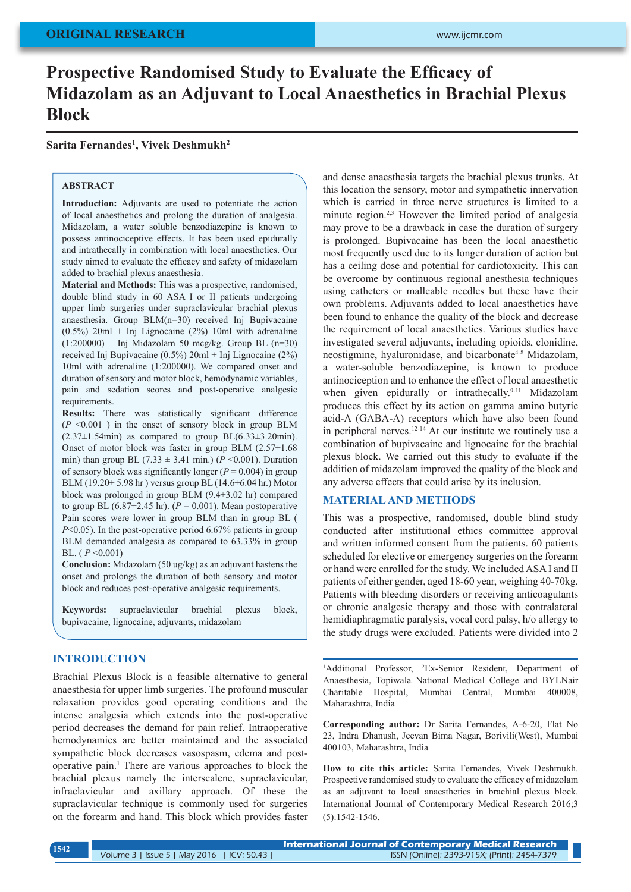# **Prospective Randomised Study to Evaluate the Efficacy of Midazolam as an Adjuvant to Local Anaesthetics in Brachial Plexus Block**

**Sarita Fernandes1 , Vivek Deshmukh2**

### **ABSTRACT**

**Introduction:** Adjuvants are used to potentiate the action of local anaesthetics and prolong the duration of analgesia. Midazolam, a water soluble benzodiazepine is known to possess antinociceptive effects. It has been used epidurally and intrathecally in combination with local anaesthetics. Our study aimed to evaluate the efficacy and safety of midazolam added to brachial plexus anaesthesia.

**Material and Methods:** This was a prospective, randomised, double blind study in 60 ASA I or II patients undergoing upper limb surgeries under supraclavicular brachial plexus anaesthesia. Group BLM(n=30) received Inj Bupivacaine  $(0.5\%)$  20ml + Inj Lignocaine (2%) 10ml with adrenaline  $(1:200000)$  + Inj Midazolam 50 mcg/kg. Group BL (n=30) received Inj Bupivacaine (0.5%) 20ml + Inj Lignocaine (2%) 10ml with adrenaline (1:200000). We compared onset and duration of sensory and motor block, hemodynamic variables, pain and sedation scores and post-operative analgesic requirements.

**Results:** There was statistically significant difference  $(P \leq 0.001)$  in the onset of sensory block in group BLM  $(2.37\pm1.54\,\text{min})$  as compared to group BL $(6.33\pm3.20\,\text{min})$ . Onset of motor block was faster in group BLM (2.57±1.68 min) than group BL (7.33  $\pm$  3.41 min.) (*P* <0.001). Duration of sensory block was significantly longer  $(P = 0.004)$  in group BLM (19.20± 5.98 hr ) versus group BL (14.6±6.04 hr.) Motor block was prolonged in group BLM (9.4±3.02 hr) compared to group BL  $(6.87\pm2.45 \text{ hr})$ .  $(P = 0.001)$ . Mean postoperative Pain scores were lower in group BLM than in group BL ( *P*<0.05). In the post-operative period 6.67% patients in group BLM demanded analgesia as compared to 63.33% in group BL. ( *P* <0.001)

**Conclusion:** Midazolam (50 ug/kg) as an adjuvant hastens the onset and prolongs the duration of both sensory and motor block and reduces post-operative analgesic requirements.

**Keywords:** supraclavicular brachial plexus block, bupivacaine, lignocaine, adjuvants, midazolam

### **INTRODUCTION**

Brachial Plexus Block is a feasible alternative to general anaesthesia for upper limb surgeries. The profound muscular relaxation provides good operating conditions and the intense analgesia which extends into the post-operative period decreases the demand for pain relief. Intraoperative hemodynamics are better maintained and the associated sympathetic block decreases vasospasm, edema and postoperative pain.1 There are various approaches to block the brachial plexus namely the interscalene, supraclavicular, infraclavicular and axillary approach. Of these the supraclavicular technique is commonly used for surgeries on the forearm and hand. This block which provides faster

and dense anaesthesia targets the brachial plexus trunks. At this location the sensory, motor and sympathetic innervation which is carried in three nerve structures is limited to a minute region.<sup>2,3</sup> However the limited period of analgesia may prove to be a drawback in case the duration of surgery is prolonged. Bupivacaine has been the local anaesthetic most frequently used due to its longer duration of action but has a ceiling dose and potential for cardiotoxicity. This can be overcome by continuous regional anesthesia techniques using catheters or malleable needles but these have their own problems. Adjuvants added to local anaesthetics have been found to enhance the quality of the block and decrease the requirement of local anaesthetics. Various studies have investigated several adjuvants, including opioids, clonidine, neostigmine, hyaluronidase, and bicarbonate<sup>4-8</sup> Midazolam, a water-soluble benzodiazepine, is known to produce antinociception and to enhance the effect of local anaesthetic when given epidurally or intrathecally.<sup>9-11</sup> Midazolam produces this effect by its action on gamma amino butyric acid-A (GABA-A) receptors which have also been found in peripheral nerves.12-14 At our institute we routinely use a combination of bupivacaine and lignocaine for the brachial plexus block. We carried out this study to evaluate if the addition of midazolam improved the quality of the block and any adverse effects that could arise by its inclusion.

### **MATERIAL AND METHODS**

This was a prospective, randomised, double blind study conducted after institutional ethics committee approval and written informed consent from the patients. 60 patients scheduled for elective or emergency surgeries on the forearm or hand were enrolled for the study. We included ASA I and II patients of either gender, aged 18-60 year, weighing 40-70kg. Patients with bleeding disorders or receiving anticoagulants or chronic analgesic therapy and those with contralateral hemidiaphragmatic paralysis, vocal cord palsy, h/o allergy to the study drugs were excluded. Patients were divided into 2

<sup>1</sup>Additional Professor, <sup>2</sup>Ex-Senior Resident, Department of Anaesthesia, Topiwala National Medical College and BYLNair Charitable Hospital, Mumbai Central, Mumbai 400008, Maharashtra, India

**Corresponding author:** Dr Sarita Fernandes, A-6-20, Flat No 23, Indra Dhanush, Jeevan Bima Nagar, Borivili(West), Mumbai 400103, Maharashtra, India

**How to cite this article:** Sarita Fernandes, Vivek Deshmukh. Prospective randomised study to evaluate the efficacy of midazolam as an adjuvant to local anaesthetics in brachial plexus block. International Journal of Contemporary Medical Research 2016;3 (5):1542-1546.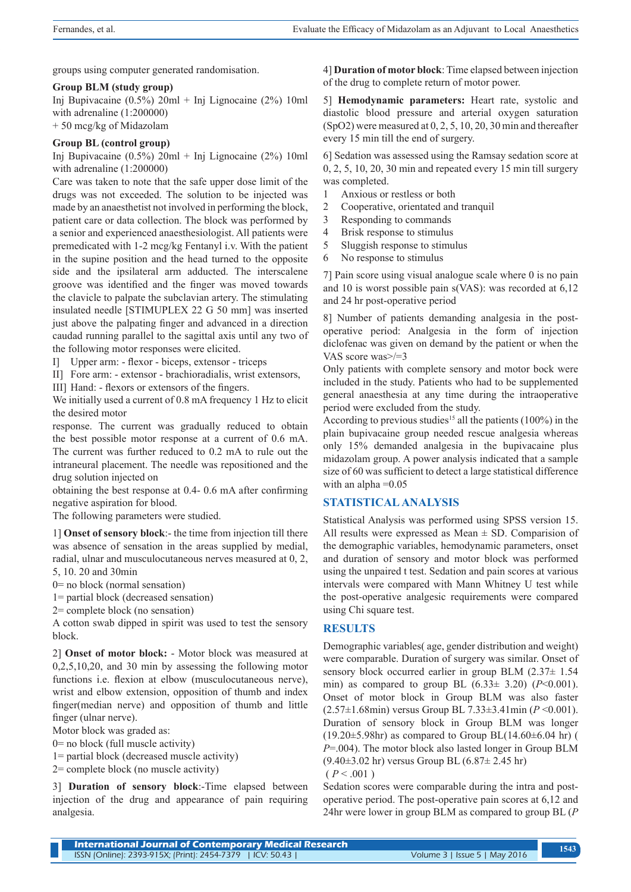groups using computer generated randomisation.

#### **Group BLM (study group)**

Inj Bupivacaine (0.5%) 20ml + Inj Lignocaine (2%) 10ml with adrenaline (1:200000) + 50 mcg/kg of Midazolam

### **Group BL (control group)**

Inj Bupivacaine (0.5%) 20ml + Inj Lignocaine (2%) 10ml with adrenaline (1:200000)

Care was taken to note that the safe upper dose limit of the drugs was not exceeded. The solution to be injected was made by an anaesthetist not involved in performing the block, patient care or data collection. The block was performed by a senior and experienced anaesthesiologist. All patients were premedicated with 1-2 mcg/kg Fentanyl i.v. With the patient in the supine position and the head turned to the opposite side and the ipsilateral arm adducted. The interscalene groove was identified and the finger was moved towards the clavicle to palpate the subclavian artery. The stimulating insulated needle [STIMUPLEX 22 G 50 mm] was inserted just above the palpating finger and advanced in a direction caudad running parallel to the sagittal axis until any two of the following motor responses were elicited.

I] Upper arm: - flexor - biceps, extensor - triceps

II] Fore arm: - extensor - brachioradialis, wrist extensors,

III] Hand: - flexors or extensors of the fingers.

We initially used a current of 0.8 mA frequency 1 Hz to elicit the desired motor

response. The current was gradually reduced to obtain the best possible motor response at a current of 0.6 mA. The current was further reduced to 0.2 mA to rule out the intraneural placement. The needle was repositioned and the drug solution injected on

obtaining the best response at 0.4- 0.6 mA after confirming negative aspiration for blood.

The following parameters were studied.

1] **Onset of sensory block**:- the time from injection till there was absence of sensation in the areas supplied by medial, radial, ulnar and musculocutaneous nerves measured at 0, 2, 5, 10. 20 and 30min

0= no block (normal sensation)

1= partial block (decreased sensation)

2= complete block (no sensation)

A cotton swab dipped in spirit was used to test the sensory block.

2] **Onset of motor block:** - Motor block was measured at 0,2,5,10,20, and 30 min by assessing the following motor functions i.e. flexion at elbow (musculocutaneous nerve), wrist and elbow extension, opposition of thumb and index finger(median nerve) and opposition of thumb and little finger (ulnar nerve).

Motor block was graded as:

- 0= no block (full muscle activity)
- 1= partial block (decreased muscle activity)
- 2= complete block (no muscle activity)

3] **Duration of sensory block**:-Time elapsed between injection of the drug and appearance of pain requiring analgesia.

4] **Duration of motor block**: Time elapsed between injection of the drug to complete return of motor power.

5] **Hemodynamic parameters:** Heart rate, systolic and diastolic blood pressure and arterial oxygen saturation (SpO2) were measured at 0, 2, 5, 10, 20, 30 min and thereafter every 15 min till the end of surgery.

6] Sedation was assessed using the Ramsay sedation score at 0, 2, 5, 10, 20, 30 min and repeated every 15 min till surgery was completed.

- 1 Anxious or restless or both
- 2 Cooperative, orientated and tranquil
- 3 Responding to commands
- 4 Brisk response to stimulus
- 5 Sluggish response to stimulus
- 6 No response to stimulus

7] Pain score using visual analogue scale where 0 is no pain and 10 is worst possible pain s(VAS): was recorded at 6,12 and 24 hr post-operative period

8] Number of patients demanding analgesia in the postoperative period: Analgesia in the form of injection diclofenac was given on demand by the patient or when the VAS score was>/=3

Only patients with complete sensory and motor bock were included in the study. Patients who had to be supplemented general anaesthesia at any time during the intraoperative period were excluded from the study.

According to previous studies<sup>15</sup> all the patients  $(100\%)$  in the plain bupivacaine group needed rescue analgesia whereas only 15% demanded analgesia in the bupivacaine plus midazolam group. A power analysis indicated that a sample size of 60 was sufficient to detect a large statistical difference with an alpha  $=0.05$ 

## **STATISTICAL ANALYSIS**

Statistical Analysis was performed using SPSS version 15. All results were expressed as Mean  $\pm$  SD. Comparision of the demographic variables, hemodynamic parameters, onset and duration of sensory and motor block was performed using the unpaired t test. Sedation and pain scores at various intervals were compared with Mann Whitney U test while the post-operative analgesic requirements were compared using Chi square test.

### **RESULTS**

Demographic variables( age, gender distribution and weight) were comparable. Duration of surgery was similar. Onset of sensory block occurred earlier in group BLM (2.37 $\pm$  1.54 min) as compared to group BL (6.33± 3.20) (*P*<0.001). Onset of motor block in Group BLM was also faster (2.57±1.68min) versus Group BL 7.33±3.41min (*P* <0.001). Duration of sensory block in Group BLM was longer  $(19.20\pm5.98$ hr) as compared to Group BL $(14.60\pm6.04)$  hr) ( *P*=.004). The motor block also lasted longer in Group BLM (9.40±3.02 hr) versus Group BL (6.87± 2.45 hr)

 $(P < .001)$ 

Sedation scores were comparable during the intra and postoperative period. The post-operative pain scores at 6,12 and 24hr were lower in group BLM as compared to group BL (*P*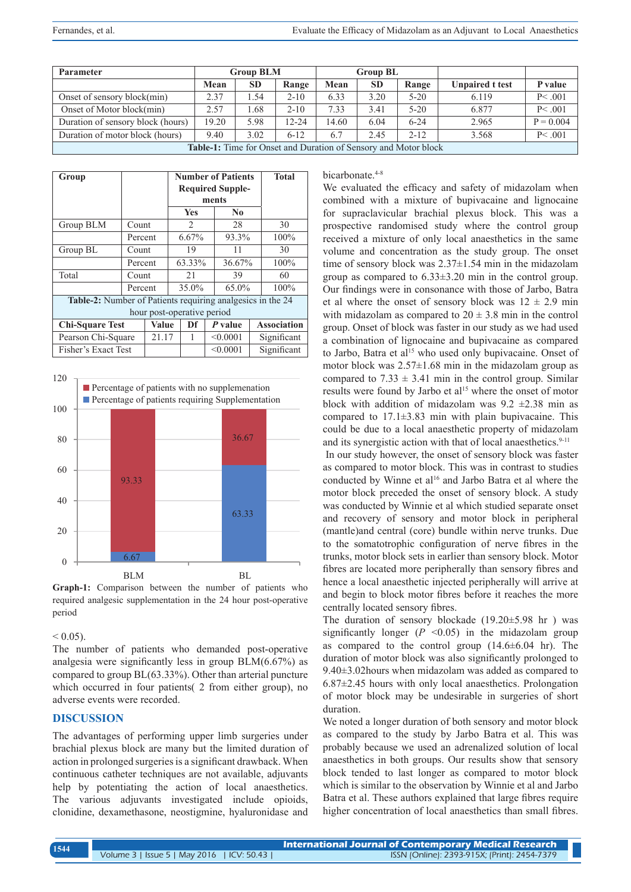| Parameter                                                       | <b>Group BLM</b> |           |           |       | <b>Group BL</b> |          |                        |             |  |
|-----------------------------------------------------------------|------------------|-----------|-----------|-------|-----------------|----------|------------------------|-------------|--|
|                                                                 | Mean             | <b>SD</b> | Range     | Mean  | <b>SD</b>       | Range    | <b>Unpaired t test</b> | P value     |  |
| Onset of sensory block(min)                                     | 2.37             | 1.54      | $2 - 10$  | 6.33  | 3.20            | $5-20$   | 6.119                  | P<.001      |  |
| Onset of Motor block(min)                                       | 2.57             | 1.68      | $2 - 10$  | 7.33  | 3.41            | $5 - 20$ | 6.877                  | P<.001      |  |
| Duration of sensory block (hours)                               | 19.20            | 5.98      | $12 - 24$ | 14.60 | 6.04            | $6 - 24$ | 2.965                  | $P = 0.004$ |  |
| Duration of motor block (hours)                                 | 9.40             | 3.02      | $6 - 12$  | 6.7   | 2.45            | $2 - 12$ | 3.568                  | P < .001    |  |
| Table-1: Time for Onset and Duration of Sensory and Motor block |                  |           |           |       |                 |          |                        |             |  |

| Group                                                      |         |       | <b>Number of Patients</b>     |  |                | <b>Total</b> |      |                    |  |
|------------------------------------------------------------|---------|-------|-------------------------------|--|----------------|--------------|------|--------------------|--|
|                                                            |         |       | <b>Required Supple-</b>       |  |                |              |      |                    |  |
|                                                            |         |       | ments                         |  |                |              |      |                    |  |
|                                                            |         |       | <b>Yes</b>                    |  | N <sub>0</sub> |              |      |                    |  |
| Group BLM                                                  | Count   |       | $\mathfrak{D}_{\mathfrak{p}}$ |  | 28             |              | 30   |                    |  |
|                                                            | Percent |       | 6.67%                         |  | 93.3%          |              | 100% |                    |  |
| Group BL                                                   | Count   |       | 19                            |  |                | 11           |      | 30                 |  |
|                                                            | Percent |       | 63.33%                        |  |                | 36.67%       |      | 100%               |  |
| Total                                                      | Count   |       | 21                            |  |                | 39           |      | 60                 |  |
|                                                            | Percent |       | 35.0%                         |  |                | 65.0%        |      | 100%               |  |
| Table-2: Number of Patients requiring analgesics in the 24 |         |       |                               |  |                |              |      |                    |  |
| hour post-operative period                                 |         |       |                               |  |                |              |      |                    |  |
| <b>Chi-Square Test</b>                                     |         | Value | Df                            |  | P value        |              |      | <b>Association</b> |  |
| Pearson Chi-Square                                         |         | 21.17 | 1                             |  |                | < 0.0001     |      | Significant        |  |
| Fisher's Exact Test                                        |         |       |                               |  | < 0.0001       |              |      | Significant        |  |



**Graph-1:** Comparison between the number of patients who required analgesic supplementation in the 24 hour post-operative period

#### $< 0.05$ ).

The number of patients who demanded post-operative analgesia were significantly less in group BLM(6.67%) as compared to group BL(63.33%). Other than arterial puncture which occurred in four patients( 2 from either group), no adverse events were recorded.

#### **DISCUSSION**

The advantages of performing upper limb surgeries under brachial plexus block are many but the limited duration of action in prolonged surgeries is a significant drawback. When continuous catheter techniques are not available, adjuvants help by potentiating the action of local anaesthetics. The various adjuvants investigated include opioids, clonidine, dexamethasone, neostigmine, hyaluronidase and

#### bicarbonate.<sup>4-8</sup>

We evaluated the efficacy and safety of midazolam when combined with a mixture of bupivacaine and lignocaine for supraclavicular brachial plexus block. This was a prospective randomised study where the control group received a mixture of only local anaesthetics in the same volume and concentration as the study group. The onset time of sensory block was 2.37±1.54 min in the midazolam group as compared to 6.33±3.20 min in the control group. Our findings were in consonance with those of Jarbo, Batra et al where the onset of sensory block was  $12 \pm 2.9$  min with midazolam as compared to  $20 \pm 3.8$  min in the control group. Onset of block was faster in our study as we had used a combination of lignocaine and bupivacaine as compared to Jarbo, Batra et al<sup>15</sup> who used only bupivacaine. Onset of motor block was  $2.57\pm1.68$  min in the midazolam group as compared to  $7.33 \pm 3.41$  min in the control group. Similar results were found by Jarbo et al<sup>15</sup> where the onset of motor block with addition of midazolam was  $9.2 \pm 2.38$  min as compared to  $17.1\pm3.83$  min with plain bupivacaine. This could be due to a local anaesthetic property of midazolam and its synergistic action with that of local anaesthetics.<sup>9-11</sup>

 In our study however, the onset of sensory block was faster as compared to motor block. This was in contrast to studies conducted by Winne et al<sup>16</sup> and Jarbo Batra et al where the motor block preceded the onset of sensory block. A study was conducted by Winnie et al which studied separate onset and recovery of sensory and motor block in peripheral (mantle)and central (core) bundle within nerve trunks. Due to the somatotrophic configuration of nerve fibres in the trunks, motor block sets in earlier than sensory block. Motor fibres are located more peripherally than sensory fibres and hence a local anaesthetic injected peripherally will arrive at and begin to block motor fibres before it reaches the more centrally located sensory fibres.

The duration of sensory blockade (19.20±5.98 hr ) was significantly longer  $(P \le 0.05)$  in the midazolam group as compared to the control group  $(14.6\pm6.04)$  hr). The duration of motor block was also significantly prolonged to 9.40±3.02hours when midazolam was added as compared to 6.87±2.45 hours with only local anaesthetics. Prolongation of motor block may be undesirable in surgeries of short duration.

We noted a longer duration of both sensory and motor block as compared to the study by Jarbo Batra et al. This was probably because we used an adrenalized solution of local anaesthetics in both groups. Our results show that sensory block tended to last longer as compared to motor block which is similar to the observation by Winnie et al and Jarbo Batra et al. These authors explained that large fibres require higher concentration of local anaesthetics than small fibres.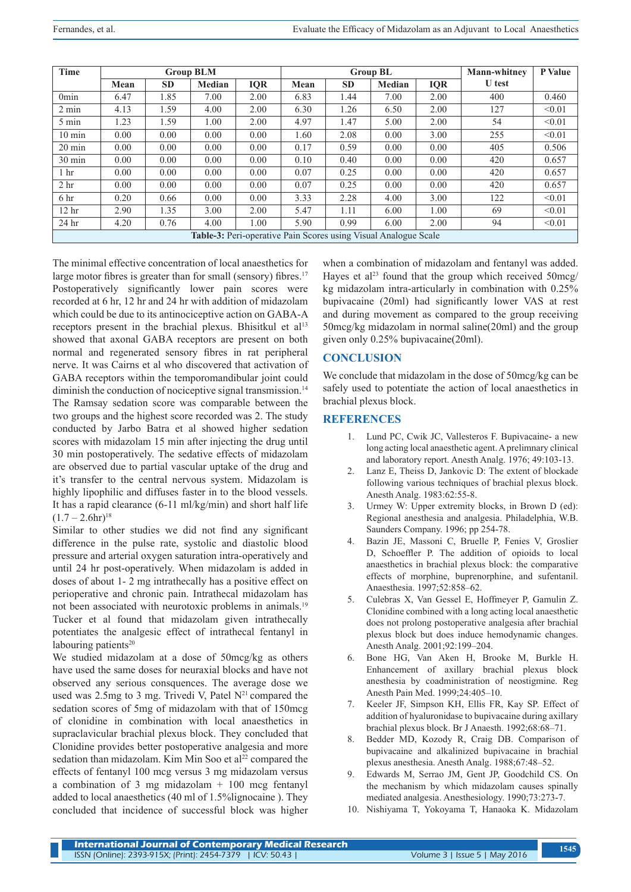| <b>Time</b>                                                            |      |           | <b>Group BLM</b> |            |      | <b>Group BL</b> | <b>Mann-whitney</b> | P Value    |               |        |
|------------------------------------------------------------------------|------|-----------|------------------|------------|------|-----------------|---------------------|------------|---------------|--------|
|                                                                        | Mean | <b>SD</b> | Median           | <b>IQR</b> | Mean | <b>SD</b>       | Median              | <b>IQR</b> | <b>U</b> test |        |
| 0 <sub>min</sub>                                                       | 6.47 | 1.85      | 7.00             | 2.00       | 6.83 | 1.44            | 7.00                | 2.00       | 400           | 0.460  |
| $2 \text{ min}$                                                        | 4.13 | 1.59      | 4.00             | 2.00       | 6.30 | 1.26            | 6.50                | 2.00       | 127           | < 0.01 |
| 5 min                                                                  | 1.23 | 1.59      | 1.00             | 2.00       | 4.97 | 1.47            | 5.00                | 2.00       | 54            | < 0.01 |
| $10 \text{ min}$                                                       | 0.00 | 0.00      | 0.00             | 0.00       | 1.60 | 2.08            | 0.00                | 3.00       | 255           | < 0.01 |
| $20 \text{ min}$                                                       | 0.00 | 0.00      | 0.00             | 0.00       | 0.17 | 0.59            | 0.00                | 0.00       | 405           | 0.506  |
| $30 \text{ min}$                                                       | 0.00 | 0.00      | 0.00             | 0.00       | 0.10 | 0.40            | 0.00                | 0.00       | 420           | 0.657  |
| 1 <sub>hr</sub>                                                        | 0.00 | 0.00      | 0.00             | 0.00       | 0.07 | 0.25            | 0.00                | 0.00       | 420           | 0.657  |
| 2 <sub>hr</sub>                                                        | 0.00 | 0.00      | 0.00             | 0.00       | 0.07 | 0.25            | 0.00                | 0.00       | 420           | 0.657  |
| 6 <sub>hr</sub>                                                        | 0.20 | 0.66      | 0.00             | 0.00       | 3.33 | 2.28            | 4.00                | 3.00       | 122           | < 0.01 |
| 12 <sup>hr</sup>                                                       | 2.90 | 1.35      | 3.00             | 2.00       | 5.47 | 1.11            | 6.00                | 1.00       | 69            | < 0.01 |
| 24 <sub>hr</sub>                                                       | 4.20 | 0.76      | 4.00             | 1.00       | 5.90 | 0.99            | 6.00                | 2.00       | 94            | < 0.01 |
| <b>Table-3:</b> Peri-operative Pain Scores using Visual Analogue Scale |      |           |                  |            |      |                 |                     |            |               |        |

The minimal effective concentration of local anaesthetics for large motor fibres is greater than for small (sensory) fibres.<sup>17</sup> Postoperatively significantly lower pain scores were recorded at 6 hr, 12 hr and 24 hr with addition of midazolam which could be due to its antinociceptive action on GABA-A receptors present in the brachial plexus. Bhisitkul et al<sup>13</sup> showed that axonal GABA receptors are present on both normal and regenerated sensory fibres in rat peripheral nerve. It was Cairns et al who discovered that activation of GABA receptors within the temporomandibular joint could diminish the conduction of nociceptive signal transmission.<sup>14</sup> The Ramsay sedation score was comparable between the two groups and the highest score recorded was 2. The study conducted by Jarbo Batra et al showed higher sedation scores with midazolam 15 min after injecting the drug until 30 min postoperatively. The sedative effects of midazolam are observed due to partial vascular uptake of the drug and it's transfer to the central nervous system. Midazolam is highly lipophilic and diffuses faster in to the blood vessels. It has a rapid clearance (6-11 ml/kg/min) and short half life  $(1.7 - 2.6hr)^{18}$ 

Similar to other studies we did not find any significant difference in the pulse rate, systolic and diastolic blood pressure and arterial oxygen saturation intra-operatively and until 24 hr post-operatively. When midazolam is added in doses of about 1- 2 mg intrathecally has a positive effect on perioperative and chronic pain. Intrathecal midazolam has not been associated with neurotoxic problems in animals.19 Tucker et al found that midazolam given intrathecally potentiates the analgesic effect of intrathecal fentanyl in labouring patients $20$ 

We studied midazolam at a dose of 50mcg/kg as others have used the same doses for neuraxial blocks and have not observed any serious consquences. The average dose we used was 2.5mg to 3 mg. Trivedi V, Patel  $N<sup>21</sup>$  compared the sedation scores of 5mg of midazolam with that of 150mcg of clonidine in combination with local anaesthetics in supraclavicular brachial plexus block. They concluded that Clonidine provides better postoperative analgesia and more sedation than midazolam. Kim Min Soo et al<sup>22</sup> compared the effects of fentanyl 100 mcg versus 3 mg midazolam versus a combination of 3 mg midazolam  $+$  100 mcg fentanyl added to local anaesthetics (40 ml of 1.5%lignocaine ). They concluded that incidence of successful block was higher

when a combination of midazolam and fentanyl was added. Hayes et al<sup>23</sup> found that the group which received  $50$  mcg/ kg midazolam intra-articularly in combination with 0.25% bupivacaine (20ml) had significantly lower VAS at rest and during movement as compared to the group receiving 50mcg/kg midazolam in normal saline(20ml) and the group given only 0.25% bupivacaine(20ml).

# **CONCLUSION**

We conclude that midazolam in the dose of 50mcg/kg can be safely used to potentiate the action of local anaesthetics in brachial plexus block.

## **REFERENCES**

- 1. Lund PC, Cwik JC, Vallesteros F. Bupivacaine- a new long acting local anaesthetic agent. A prelimnary clinical and laboratory report. Anesth Analg. 1976; 49:103-13.
- 2. Lanz E, Theiss D, Jankovic D: The extent of blockade following various techniques of brachial plexus block. Anesth Analg. 1983:62:55-8.
- 3. Urmey W: Upper extremity blocks, in Brown D (ed): Regional anesthesia and analgesia. Philadelphia, W.B. Saunders Company. 1996; pp 254-78.
- 4. Bazin JE, Massoni C, Bruelle P, Fenies V, Groslier D, Schoeffler P. The addition of opioids to local anaesthetics in brachial plexus block: the comparative effects of morphine, buprenorphine, and sufentanil. Anaesthesia. 1997;52:858–62.
- 5. Culebras X, Van Gessel E, Hoffmeyer P, Gamulin Z. Clonidine combined with a long acting local anaesthetic does not prolong postoperative analgesia after brachial plexus block but does induce hemodynamic changes. Anesth Analg. 2001;92:199–204.
- 6. Bone HG, Van Aken H, Brooke M, Burkle H. Enhancement of axillary brachial plexus block anesthesia by coadministration of neostigmine. Reg Anesth Pain Med. 1999;24:405–10.
- 7. Keeler JF, Simpson KH, Ellis FR, Kay SP. Effect of addition of hyaluronidase to bupivacaine during axillary brachial plexus block. Br J Anaesth. 1992;68:68–71.
- 8. Bedder MD, Kozody R, Craig DB. Comparison of bupivacaine and alkalinized bupivacaine in brachial plexus anesthesia. Anesth Analg. 1988;67:48–52.
- 9. Edwards M, Serrao JM, Gent JP, Goodchild CS. On the mechanism by which midazolam causes spinally mediated analgesia. Anesthesiology. 1990;73:273-7.
- 10. Nishiyama T, Yokoyama T, Hanaoka K. Midazolam